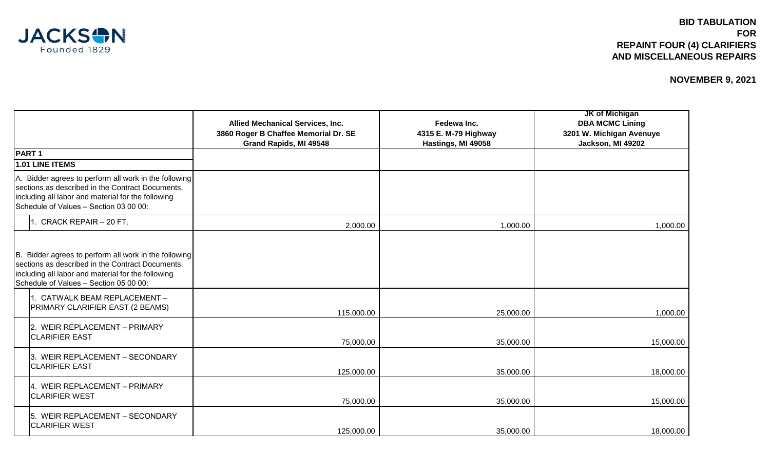

|                                                                                                                                                                                                           | Allied Mechanical Services, Inc.<br>3860 Roger B Chaffee Memorial Dr. SE<br>Grand Rapids, MI 49548 | Fedewa Inc.<br>4315 E. M-79 Highway<br>Hastings, MI 49058 | <b>JK of Michigan</b><br><b>DBA MCMC Lining</b><br>3201 W. Michigan Avenuye<br>Jackson, MI 49202 |
|-----------------------------------------------------------------------------------------------------------------------------------------------------------------------------------------------------------|----------------------------------------------------------------------------------------------------|-----------------------------------------------------------|--------------------------------------------------------------------------------------------------|
| <b>PART1</b>                                                                                                                                                                                              |                                                                                                    |                                                           |                                                                                                  |
| 1.01 LINE ITEMS                                                                                                                                                                                           |                                                                                                    |                                                           |                                                                                                  |
| A. Bidder agrees to perform all work in the following<br>sections as described in the Contract Documents,<br>including all labor and material for the following<br>Schedule of Values - Section 03 00 00: |                                                                                                    |                                                           |                                                                                                  |
| 1. CRACK REPAIR - 20 FT.                                                                                                                                                                                  | 2,000.00                                                                                           | 1,000.00                                                  | 1,000.00                                                                                         |
| B. Bidder agrees to perform all work in the following<br>sections as described in the Contract Documents,<br>including all labor and material for the following<br>Schedule of Values - Section 05 00 00: |                                                                                                    |                                                           |                                                                                                  |
| 1. CATWALK BEAM REPLACEMENT -<br>PRIMARY CLARIFIER EAST (2 BEAMS)                                                                                                                                         | 115,000.00                                                                                         | 25,000.00                                                 | 1,000.00                                                                                         |
| 2. WEIR REPLACEMENT - PRIMARY<br><b>CLARIFIER EAST</b>                                                                                                                                                    | 75,000.00                                                                                          | 35,000.00                                                 | 15,000.00                                                                                        |
| 3. WEIR REPLACEMENT - SECONDARY<br><b>CLARIFIER EAST</b>                                                                                                                                                  | 125,000.00                                                                                         | 35,000.00                                                 | 18,000.00                                                                                        |
| 4. WEIR REPLACEMENT - PRIMARY<br><b>CLARIFIER WEST</b>                                                                                                                                                    | 75,000.00                                                                                          | 35,000.00                                                 | 15,000.00                                                                                        |
| 5. WEIR REPLACEMENT - SECONDARY<br><b>CLARIFIER WEST</b>                                                                                                                                                  | 125,000.00                                                                                         | 35,000.00                                                 | 18,000.00                                                                                        |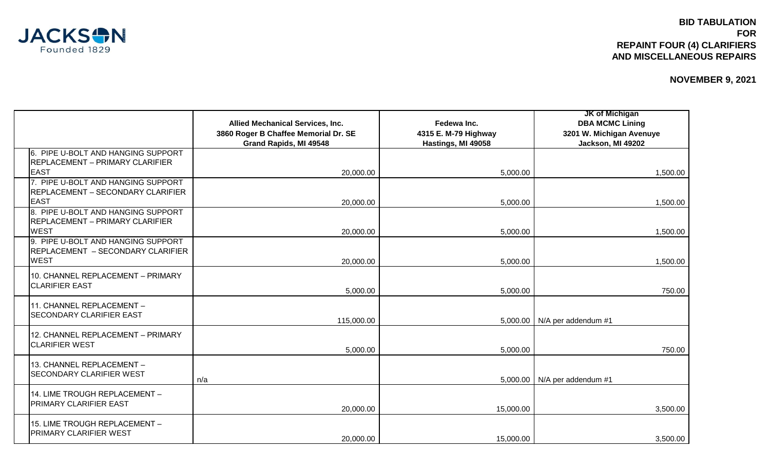

|                                                                                             | Allied Mechanical Services, Inc.<br>3860 Roger B Chaffee Memorial Dr. SE<br>Grand Rapids, MI 49548 | Fedewa Inc.<br>4315 E. M-79 Highway<br>Hastings, MI 49058 | <b>JK of Michigan</b><br><b>DBA MCMC Lining</b><br>3201 W. Michigan Avenuye<br>Jackson, MI 49202 |
|---------------------------------------------------------------------------------------------|----------------------------------------------------------------------------------------------------|-----------------------------------------------------------|--------------------------------------------------------------------------------------------------|
| 6. PIPE U-BOLT AND HANGING SUPPORT<br><b>REPLACEMENT - PRIMARY CLARIFIER</b><br><b>EAST</b> | 20,000.00                                                                                          | 5,000.00                                                  | 1,500.00                                                                                         |
| 7. PIPE U-BOLT AND HANGING SUPPORT<br>REPLACEMENT - SECONDARY CLARIFIER<br><b>EAST</b>      | 20,000.00                                                                                          | 5,000.00                                                  | 1,500.00                                                                                         |
| 8. PIPE U-BOLT AND HANGING SUPPORT<br><b>REPLACEMENT - PRIMARY CLARIFIER</b><br><b>WEST</b> | 20,000.00                                                                                          | 5,000.00                                                  | 1,500.00                                                                                         |
| 9. PIPE U-BOLT AND HANGING SUPPORT<br>REPLACEMENT - SECONDARY CLARIFIER<br><b>WEST</b>      | 20,000.00                                                                                          | 5,000.00                                                  | 1,500.00                                                                                         |
| 10. CHANNEL REPLACEMENT - PRIMARY<br><b>CLARIFIER EAST</b>                                  | 5,000.00                                                                                           | 5,000.00                                                  | 750.00                                                                                           |
| 11. CHANNEL REPLACEMENT -<br><b>SECONDARY CLARIFIER EAST</b>                                | 115,000.00                                                                                         |                                                           | 5,000.00   N/A per addendum #1                                                                   |
| 12. CHANNEL REPLACEMENT - PRIMARY<br><b>CLARIFIER WEST</b>                                  | 5,000.00                                                                                           | 5,000.00                                                  | 750.00                                                                                           |
| 13. CHANNEL REPLACEMENT -<br><b>SECONDARY CLARIFIER WEST</b>                                | n/a                                                                                                |                                                           | 5,000.00   N/A per addendum #1                                                                   |
| 14. LIME TROUGH REPLACEMENT -<br><b>PRIMARY CLARIFIER EAST</b>                              | 20,000.00                                                                                          | 15,000.00                                                 | 3,500.00                                                                                         |
| 15. LIME TROUGH REPLACEMENT -<br><b>PRIMARY CLARIFIER WEST</b>                              | 20,000.00                                                                                          | 15,000.00                                                 | 3,500.00                                                                                         |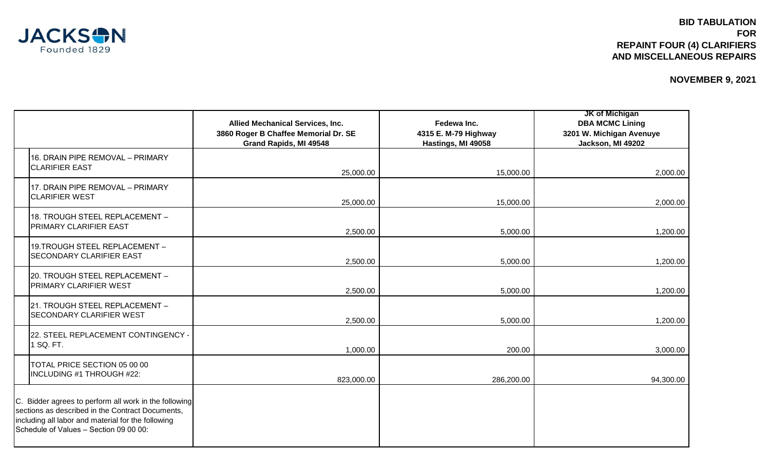

|                                                                                                                                                                                                           | <b>Allied Mechanical Services, Inc.</b><br>3860 Roger B Chaffee Memorial Dr. SE<br>Grand Rapids, MI 49548 | Fedewa Inc.<br>4315 E. M-79 Highway<br>Hastings, MI 49058 | <b>JK of Michigan</b><br><b>DBA MCMC Lining</b><br>3201 W. Michigan Avenuye<br>Jackson, MI 49202 |
|-----------------------------------------------------------------------------------------------------------------------------------------------------------------------------------------------------------|-----------------------------------------------------------------------------------------------------------|-----------------------------------------------------------|--------------------------------------------------------------------------------------------------|
| 16. DRAIN PIPE REMOVAL - PRIMARY<br><b>CLARIFIER EAST</b>                                                                                                                                                 | 25,000.00                                                                                                 | 15,000.00                                                 | 2,000.00                                                                                         |
| 17. DRAIN PIPE REMOVAL - PRIMARY<br><b>CLARIFIER WEST</b>                                                                                                                                                 | 25,000.00                                                                                                 | 15,000.00                                                 | 2,000.00                                                                                         |
| 18. TROUGH STEEL REPLACEMENT -<br>PRIMARY CLARIFIER EAST                                                                                                                                                  | 2,500.00                                                                                                  | 5,000.00                                                  | 1,200.00                                                                                         |
| 19. TROUGH STEEL REPLACEMENT -<br><b>SECONDARY CLARIFIER EAST</b>                                                                                                                                         | 2,500.00                                                                                                  | 5,000.00                                                  | 1,200.00                                                                                         |
| 20. TROUGH STEEL REPLACEMENT -<br>PRIMARY CLARIFIER WEST                                                                                                                                                  | 2,500.00                                                                                                  | 5,000.00                                                  | 1,200.00                                                                                         |
| 21. TROUGH STEEL REPLACEMENT -<br><b>SECONDARY CLARIFIER WEST</b>                                                                                                                                         | 2,500.00                                                                                                  | 5,000.00                                                  | 1,200.00                                                                                         |
| 22. STEEL REPLACEMENT CONTINGENCY .<br>1 SQ. FT.                                                                                                                                                          | 1,000.00                                                                                                  | 200.00                                                    | 3,000.00                                                                                         |
| TOTAL PRICE SECTION 05 00 00<br>INCLUDING #1 THROUGH #22:                                                                                                                                                 | 823,000.00                                                                                                | 286,200.00                                                | 94,300.00                                                                                        |
| C. Bidder agrees to perform all work in the following<br>sections as described in the Contract Documents,<br>including all labor and material for the following<br>Schedule of Values - Section 09 00 00: |                                                                                                           |                                                           |                                                                                                  |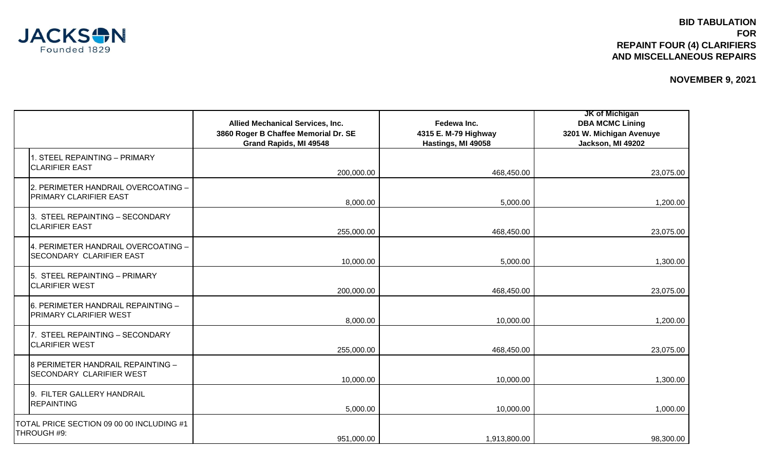

|                                                                      | <b>Allied Mechanical Services, Inc.</b><br>3860 Roger B Chaffee Memorial Dr. SE<br>Grand Rapids, MI 49548 | Fedewa Inc.<br>4315 E. M-79 Highway<br>Hastings, MI 49058 | <b>JK of Michigan</b><br><b>DBA MCMC Lining</b><br>3201 W. Michigan Avenuye<br>Jackson, MI 49202 |
|----------------------------------------------------------------------|-----------------------------------------------------------------------------------------------------------|-----------------------------------------------------------|--------------------------------------------------------------------------------------------------|
| 1. STEEL REPAINTING - PRIMARY<br><b>CLARIFIER EAST</b>               | 200,000.00                                                                                                | 468,450.00                                                | 23,075.00                                                                                        |
| 2. PERIMETER HANDRAIL OVERCOATING -<br><b>PRIMARY CLARIFIER EAST</b> | 8,000.00                                                                                                  | 5,000.00                                                  | 1,200.00                                                                                         |
| 3. STEEL REPAINTING - SECONDARY<br><b>CLARIFIER EAST</b>             | 255,000.00                                                                                                | 468,450.00                                                | 23,075.00                                                                                        |
| 4. PERIMETER HANDRAIL OVERCOATING -<br>SECONDARY CLARIFIER EAST      | 10,000.00                                                                                                 | 5,000.00                                                  | 1,300.00                                                                                         |
| 5. STEEL REPAINTING - PRIMARY<br><b>CLARIFIER WEST</b>               | 200,000.00                                                                                                | 468,450.00                                                | 23,075.00                                                                                        |
| 6. PERIMETER HANDRAIL REPAINTING -<br><b>PRIMARY CLARIFIER WEST</b>  | 8,000.00                                                                                                  | 10,000.00                                                 | 1,200.00                                                                                         |
| 7. STEEL REPAINTING - SECONDARY<br><b>CLARIFIER WEST</b>             | 255,000.00                                                                                                | 468,450.00                                                | 23,075.00                                                                                        |
| 8 PERIMETER HANDRAIL REPAINTING -<br>SECONDARY CLARIFIER WEST        | 10,000.00                                                                                                 | 10,000.00                                                 | 1,300.00                                                                                         |
| 9. FILTER GALLERY HANDRAIL<br><b>REPAINTING</b>                      | 5,000.00                                                                                                  | 10,000.00                                                 | 1,000.00                                                                                         |
| TOTAL PRICE SECTION 09 00 00 INCLUDING #1<br>THROUGH #9:             | 951,000.00                                                                                                | 1,913,800.00                                              | 98,300.00                                                                                        |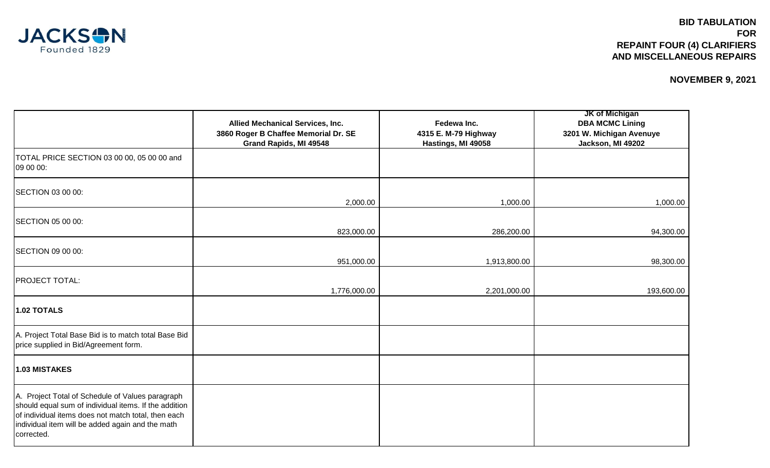

|                                                                                                                                                                                                                                    | <b>Allied Mechanical Services, Inc.</b><br>3860 Roger B Chaffee Memorial Dr. SE<br>Grand Rapids, MI 49548 | Fedewa Inc.<br>4315 E. M-79 Highway<br>Hastings, MI 49058 | <b>JK of Michigan</b><br><b>DBA MCMC Lining</b><br>3201 W. Michigan Avenuye<br>Jackson, MI 49202 |
|------------------------------------------------------------------------------------------------------------------------------------------------------------------------------------------------------------------------------------|-----------------------------------------------------------------------------------------------------------|-----------------------------------------------------------|--------------------------------------------------------------------------------------------------|
| TOTAL PRICE SECTION 03 00 00, 05 00 00 and<br>09 00 00:                                                                                                                                                                            |                                                                                                           |                                                           |                                                                                                  |
| SECTION 03 00 00:                                                                                                                                                                                                                  | 2,000.00                                                                                                  | 1,000.00                                                  | 1,000.00                                                                                         |
| SECTION 05 00 00:                                                                                                                                                                                                                  | 823,000.00                                                                                                | 286,200.00                                                | 94,300.00                                                                                        |
| SECTION 09 00 00:                                                                                                                                                                                                                  | 951,000.00                                                                                                | 1,913,800.00                                              | 98,300.00                                                                                        |
| <b>PROJECT TOTAL:</b>                                                                                                                                                                                                              | 1,776,000.00                                                                                              | 2,201,000.00                                              | 193,600.00                                                                                       |
| <b>1.02 TOTALS</b>                                                                                                                                                                                                                 |                                                                                                           |                                                           |                                                                                                  |
| A. Project Total Base Bid is to match total Base Bid<br>price supplied in Bid/Agreement form.                                                                                                                                      |                                                                                                           |                                                           |                                                                                                  |
| 1.03 MISTAKES                                                                                                                                                                                                                      |                                                                                                           |                                                           |                                                                                                  |
| A. Project Total of Schedule of Values paragraph<br>should equal sum of individual items. If the addition<br>of individual items does not match total, then each<br>individual item will be added again and the math<br>corrected. |                                                                                                           |                                                           |                                                                                                  |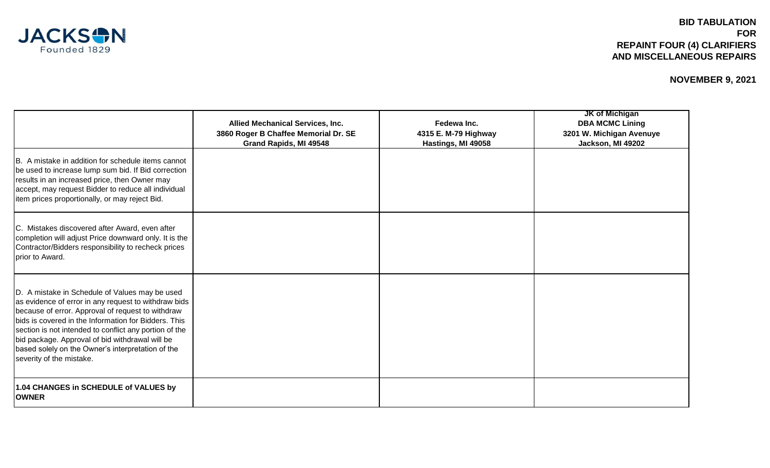

|                                                                                                                                                                                                                                                                                                                                                                                                                   | <b>Allied Mechanical Services, Inc.</b><br>3860 Roger B Chaffee Memorial Dr. SE<br>Grand Rapids, MI 49548 | Fedewa Inc.<br>4315 E. M-79 Highway<br>Hastings, MI 49058 | <b>JK of Michigan</b><br><b>DBA MCMC Lining</b><br>3201 W. Michigan Avenuye<br>Jackson, MI 49202 |
|-------------------------------------------------------------------------------------------------------------------------------------------------------------------------------------------------------------------------------------------------------------------------------------------------------------------------------------------------------------------------------------------------------------------|-----------------------------------------------------------------------------------------------------------|-----------------------------------------------------------|--------------------------------------------------------------------------------------------------|
| B. A mistake in addition for schedule items cannot<br>be used to increase lump sum bid. If Bid correction<br>results in an increased price, then Owner may<br>accept, may request Bidder to reduce all individual<br>item prices proportionally, or may reject Bid.                                                                                                                                               |                                                                                                           |                                                           |                                                                                                  |
| C. Mistakes discovered after Award, even after<br>completion will adjust Price downward only. It is the<br>Contractor/Bidders responsibility to recheck prices<br>prior to Award.                                                                                                                                                                                                                                 |                                                                                                           |                                                           |                                                                                                  |
| D. A mistake in Schedule of Values may be used<br>as evidence of error in any request to withdraw bids<br>because of error. Approval of request to withdraw<br>bids is covered in the Information for Bidders. This<br>section is not intended to conflict any portion of the<br>bid package. Approval of bid withdrawal will be<br>based solely on the Owner's interpretation of the<br>severity of the mistake. |                                                                                                           |                                                           |                                                                                                  |
| 1.04 CHANGES in SCHEDULE of VALUES by<br><b>OWNER</b>                                                                                                                                                                                                                                                                                                                                                             |                                                                                                           |                                                           |                                                                                                  |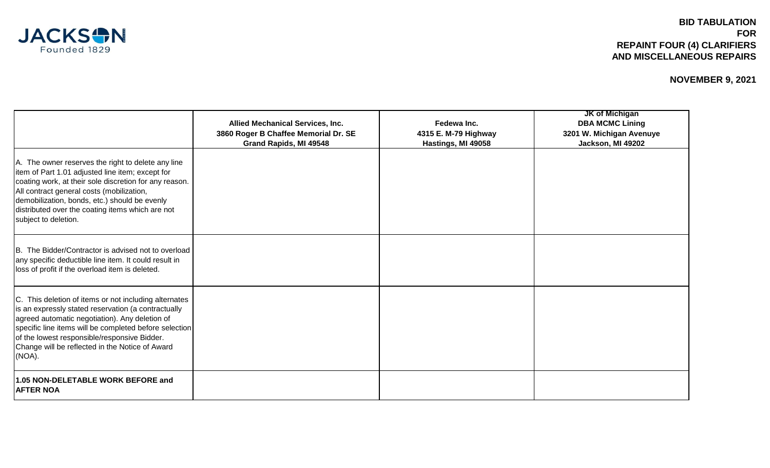

## **BID TABULATION FOR REPAINT FOUR (4) CLARIFIERS AND MISCELLANEOUS REPAIRS**

|                                                                                                                                                                                                                                                                                                                                             | <b>Allied Mechanical Services, Inc.</b><br>3860 Roger B Chaffee Memorial Dr. SE<br>Grand Rapids, MI 49548 | Fedewa Inc.<br>4315 E. M-79 Highway<br>Hastings, MI 49058 | <b>JK of Michigan</b><br><b>DBA MCMC Lining</b><br>3201 W. Michigan Avenuye<br>Jackson, MI 49202 |
|---------------------------------------------------------------------------------------------------------------------------------------------------------------------------------------------------------------------------------------------------------------------------------------------------------------------------------------------|-----------------------------------------------------------------------------------------------------------|-----------------------------------------------------------|--------------------------------------------------------------------------------------------------|
| A. The owner reserves the right to delete any line<br>litem of Part 1.01 adjusted line item; except for<br>coating work, at their sole discretion for any reason.<br>All contract general costs (mobilization,<br>demobilization, bonds, etc.) should be evenly<br>distributed over the coating items which are not<br>subject to deletion. |                                                                                                           |                                                           |                                                                                                  |
| B. The Bidder/Contractor is advised not to overload<br>any specific deductible line item. It could result in<br>loss of profit if the overload item is deleted.                                                                                                                                                                             |                                                                                                           |                                                           |                                                                                                  |
| C. This deletion of items or not including alternates<br>is an expressly stated reservation (a contractually<br>agreed automatic negotiation). Any deletion of<br>specific line items will be completed before selection<br>of the lowest responsible/responsive Bidder.<br>Change will be reflected in the Notice of Award<br>(NOA).       |                                                                                                           |                                                           |                                                                                                  |
| 1.05 NON-DELETABLE WORK BEFORE and<br><b>AFTER NOA</b>                                                                                                                                                                                                                                                                                      |                                                                                                           |                                                           |                                                                                                  |